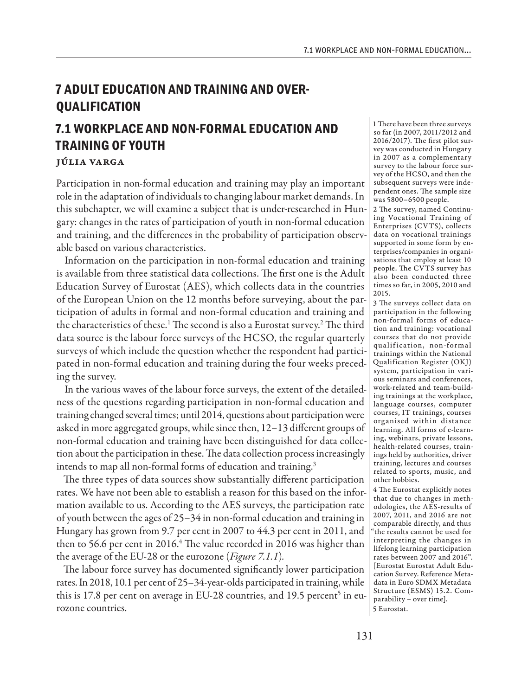## **7 ADULT EDUCATION AND TRAINING AND OVER-QUALIFICATION**

# **7.1 WORKPLACE AND NON-FORMAL EDUCATION AND TRAINING OF YOUTH**

## Júlia Varga

Participation in non-formal education and training may play an important role in the adaptation of individuals to changing labour market demands. In this subchapter, we will examine a subject that is under-researched in Hungary: changes in the rates of participation of youth in non-formal education and training, and the differences in the probability of participation observable based on various characteristics.

Information on the participation in non-formal education and training is available from three statistical data collections. The first one is the Adult Education Survey of Eurostat (AES), which collects data in the countries of the European Union on the 12 months before surveying, about the participation of adults in formal and non-formal education and training and the characteristics of these.<sup>1</sup> The second is also a Eurostat survey.<sup>2</sup> The third data source is the labour force surveys of the HCSO, the regular quarterly surveys of which include the question whether the respondent had participated in non-formal education and training during the four weeks preceding the survey.

In the various waves of the labour force surveys, the extent of the detailedness of the questions regarding participation in non-formal education and training changed several times; until 2014, questions about participation were asked in more aggregated groups, while since then, 12–13 different groups of non-formal education and training have been distinguished for data collection about the participation in these. The data collection process increasingly intends to map all non-formal forms of education and training.<sup>3</sup>

The three types of data sources show substantially different participation rates. We have not been able to establish a reason for this based on the information available to us. According to the AES surveys, the participation rate of youth between the ages of 25–34 in non-formal education and training in Hungary has grown from 9.7 per cent in 2007 to 44.3 per cent in 2011, and then to 56.6 per cent in 2016.<sup>4</sup> The value recorded in 2016 was higher than the average of the EU-28 or the eurozone (*Figure 7.1.1*)*.*

The labour force survey has documented significantly lower participation rates. In 2018, 10.1 per cent of 25–34-year-olds participated in training, while this is 17.8 per cent on average in EU-28 countries, and 19.5 percent<sup>5</sup> in eurozone countries.

1 There have been three surveys so far (in 2007, 2011/2012 and 2016/2017). The first pilot survey was conducted in Hungary in 2007 as a complementary survey to the labour force survey of the HCSO, and then the subsequent surveys were independent ones. The sample size was 5800–6500 people.

2 The survey, named Continuing Vocational Training of Enterprises (CVTS), collects data on vocational trainings supported in some form by enterprises/companies in organisations that employ at least 10 people. The CVTS survey has also been conducted three times so far, in 2005, 2010 and 2015.

3 The surveys collect data on participation in the following non-formal forms of education and training: vocational courses that do not provide qualification, non-formal trainings within the National Qualification Register (OKJ) system, participation in various seminars and conferences, work-related and team-building trainings at the workplace, language courses, computer courses, IT trainings, courses organised within distance learning. All forms of e-learning, webinars, private lessons, health-related courses, trainings held by authorities, driver training, lectures and courses related to sports, music, and other hobbies.

4 The Eurostat explicitly notes that due to changes in methodologies, the AES-results of 2007, 2011, and 2016 are not comparable directly, and thus "the results cannot be used for interpreting the changes in lifelong learning participation rates between 2007 and 2016". [Eurostat Eurostat Adult Education Survey. Reference Metadata in Euro SDMX Metadata Structure (ESMS) 15.2. Comparability – over time]. 5 Eurostat.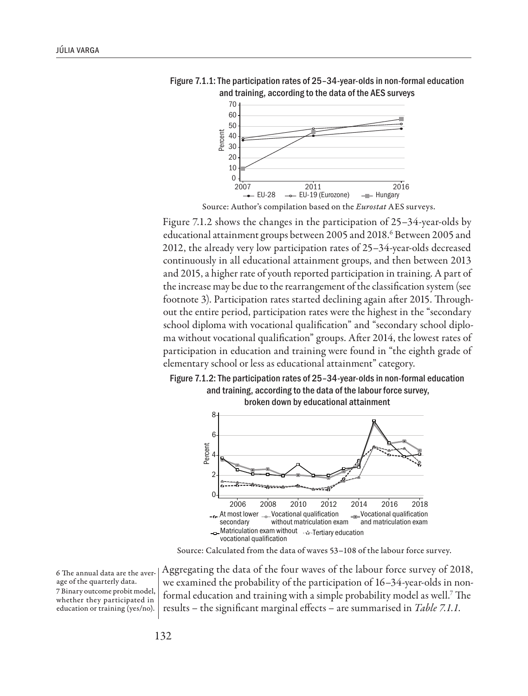

Figure 7.1.1: The participation rates of 25–34-year-olds in non-formal education and training, according to the data of the AES surveys

Source: Author's compilation based on the *Eurostat* AES surveys.

Figure 7.1.2 shows the changes in the participation of 25–34-year-olds by educational attainment groups between 2005 and 2018.<sup>6</sup> Between 2005 and 2012, the already very low participation rates of 25–34-year-olds decreased continuously in all educational attainment groups, and then between 2013 and 2015, a higher rate of youth reported participation in training. A part of the increase may be due to the rearrangement of the classification system (see footnote 3). Participation rates started declining again after 2015. Throughout the entire period, participation rates were the highest in the "secondary school diploma with vocational qualification" and "secondary school diploma without vocational qualification" groups. After 2014, the lowest rates of participation in education and training were found in "the eighth grade of elementary school or less as educational attainment" category.

### Figure 7.1.2: The participation rates of 25–34-year-olds in non-formal education and training, according to the data of the labour force survey, broken down by educational attainment



Source: Calculated from the data of waves 53–108 of the labour force survey.

6 The annual data are the average of the quarterly data. 7 Binary outcome probit model, whether they participated in education or training (yes/no).

Aggregating the data of the four waves of the labour force survey of 2018, we examined the probability of the participation of 16–34-year-olds in nonformal education and training with a simple probability model as well.7 The results – the significant marginal effects – are summarised in *Table 7.1.1*.